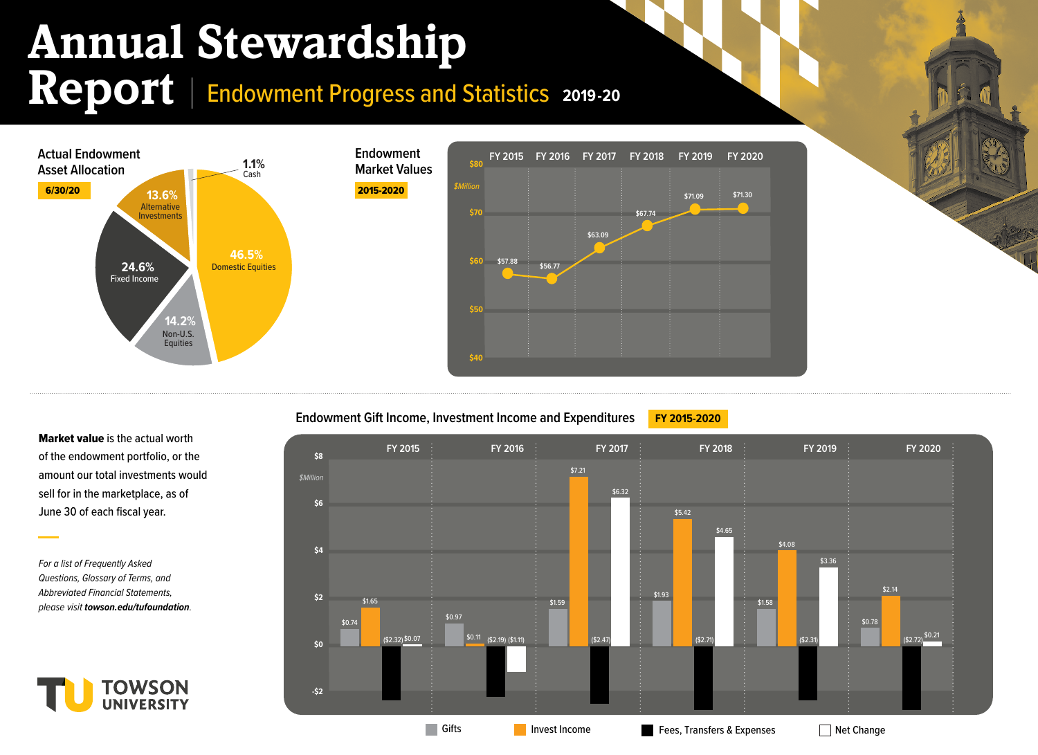## **Annual Stewardship**

Report | Endowment Progress and Statistics 2019-20



**Endowment Gift Income, Investment Income and Expenditures FY 2015-2020** 

Gifts Invest Income Fees, Transfers & Expenses Net Change **FY 2015 FY 2016 FY 2017 FY 2018 FY 2019 FY 2020 -\$2 \$0 \$2 \$4 \$6 \$8 \$Million** \$0.74 \$1.65  $($2.32) $0.07$ \$0.97 \$0.11 (\$2.32) (\$2.19) (\$2.47) (\$2.71) \$1.59 \$7.21 \$6.32 \$1.93 \$5.42 \$4.65 \$1.58 \$4.08 \$3.36 (\$2.31) \$0.78 \$2.14 (\$1.11)  $\vdots$  (\$2.47)  $\vdots$  (\$2.71)  $\vdots$  (\$2.71)  $\vdots$  (\$2.31)  $\vdots$  (\$2.32)  $\qquad \qquad$ 

Market value is the actual worth of the endowment portfolio, or the amount our total investments would sell for in the marketplace, as of June 30 of each fiscal year.

*For a list of Frequently Asked Questions, Glossary of Terms, and Abbreviated Financial Statements, please visit towson.edu/tufoundation.*